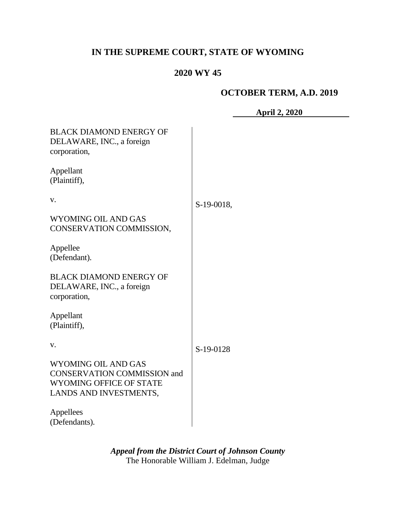# **IN THE SUPREME COURT, STATE OF WYOMING**

# **2020 WY 45**

# **OCTOBER TERM, A.D. 2019**

**April 2, 2020**

| <b>BLACK DIAMOND ENERGY OF</b><br>DELAWARE, INC., a foreign<br>corporation, |            |
|-----------------------------------------------------------------------------|------------|
| Appellant<br>(Plaintiff),                                                   |            |
| V.                                                                          | S-19-0018, |
| <b>WYOMING OIL AND GAS</b><br>CONSERVATION COMMISSION,                      |            |
| Appellee<br>(Defendant).                                                    |            |
| <b>BLACK DIAMOND ENERGY OF</b><br>DELAWARE, INC., a foreign<br>corporation, |            |
| Appellant<br>(Plaintiff),                                                   |            |
| v.                                                                          | S-19-0128  |
| WYOMING OIL AND GAS                                                         |            |
| <b>CONSERVATION COMMISSION and</b>                                          |            |
| WYOMING OFFICE OF STATE                                                     |            |
| LANDS AND INVESTMENTS,                                                      |            |
| Appellees<br>(Defendants).                                                  |            |

*Appeal from the District Court of Johnson County* The Honorable William J. Edelman, Judge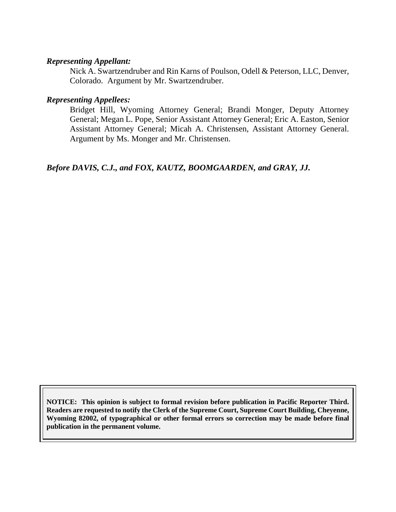#### *Representing Appellant:*

Nick A. Swartzendruber and Rin Karns of Poulson, Odell & Peterson, LLC, Denver, Colorado. Argument by Mr. Swartzendruber.

#### *Representing Appellees:*

Bridget Hill, Wyoming Attorney General; Brandi Monger, Deputy Attorney General; Megan L. Pope, Senior Assistant Attorney General; Eric A. Easton, Senior Assistant Attorney General; Micah A. Christensen, Assistant Attorney General. Argument by Ms. Monger and Mr. Christensen.

*Before DAVIS, C.J., and FOX, KAUTZ, BOOMGAARDEN, and GRAY, JJ.*

**NOTICE: This opinion is subject to formal revision before publication in Pacific Reporter Third. Readers are requested to notify the Clerk of the Supreme Court, Supreme Court Building, Cheyenne, Wyoming 82002, of typographical or other formal errors so correction may be made before final publication in the permanent volume.**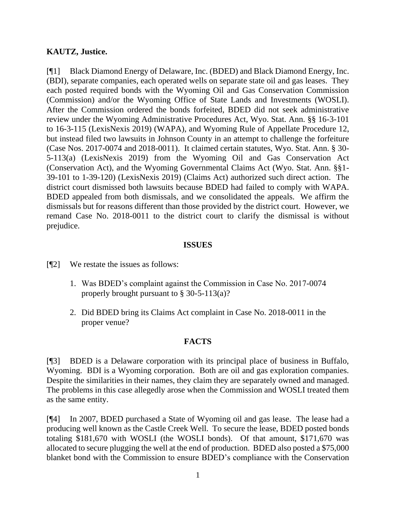### **KAUTZ, Justice.**

[¶1] Black Diamond Energy of Delaware, Inc. (BDED) and Black Diamond Energy, Inc. (BDI), separate companies, each operated wells on separate state oil and gas leases. They each posted required bonds with the Wyoming Oil and Gas Conservation Commission (Commission) and/or the Wyoming Office of State Lands and Investments (WOSLI). After the Commission ordered the bonds forfeited, BDED did not seek administrative review under the Wyoming Administrative Procedures Act, Wyo. Stat. Ann. §§ 16-3-101 to 16-3-115 (LexisNexis 2019) (WAPA), and Wyoming Rule of Appellate Procedure 12, but instead filed two lawsuits in Johnson County in an attempt to challenge the forfeiture (Case Nos. 2017-0074 and 2018-0011). It claimed certain statutes, Wyo. Stat. Ann. § 30- 5-113(a) (LexisNexis 2019) from the Wyoming Oil and Gas Conservation Act (Conservation Act), and the Wyoming Governmental Claims Act (Wyo. Stat. Ann. §§1- 39-101 to 1-39-120) (LexisNexis 2019) (Claims Act) authorized such direct action. The district court dismissed both lawsuits because BDED had failed to comply with WAPA. BDED appealed from both dismissals, and we consolidated the appeals. We affirm the dismissals but for reasons different than those provided by the district court. However, we remand Case No. 2018-0011 to the district court to clarify the dismissal is without prejudice.

#### **ISSUES**

- [¶2] We restate the issues as follows:
	- 1. Was BDED's complaint against the Commission in Case No. 2017-0074 properly brought pursuant to § 30-5-113(a)?
	- 2. Did BDED bring its Claims Act complaint in Case No. 2018-0011 in the proper venue?

#### **FACTS**

[¶3] BDED is a Delaware corporation with its principal place of business in Buffalo, Wyoming. BDI is a Wyoming corporation. Both are oil and gas exploration companies. Despite the similarities in their names, they claim they are separately owned and managed. The problems in this case allegedly arose when the Commission and WOSLI treated them as the same entity.

[¶4] In 2007, BDED purchased a State of Wyoming oil and gas lease. The lease had a producing well known as the Castle Creek Well. To secure the lease, BDED posted bonds totaling \$181,670 with WOSLI (the WOSLI bonds). Of that amount, \$171,670 was allocated to secure plugging the well at the end of production. BDED also posted a \$75,000 blanket bond with the Commission to ensure BDED's compliance with the Conservation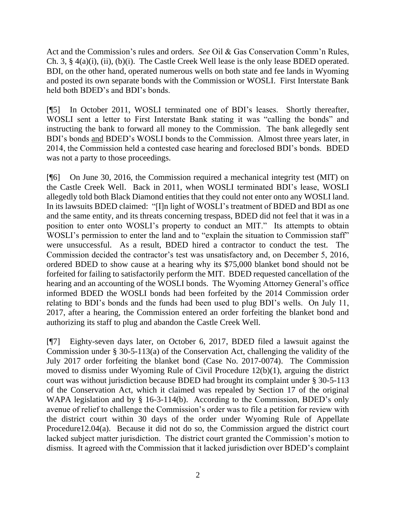Act and the Commission's rules and orders. *See* Oil & Gas Conservation Comm'n Rules, Ch. 3, § 4(a)(i), (ii), (b)(i). The Castle Creek Well lease is the only lease BDED operated. BDI, on the other hand, operated numerous wells on both state and fee lands in Wyoming and posted its own separate bonds with the Commission or WOSLI. First Interstate Bank held both BDED's and BDI's bonds.

[¶5] In October 2011, WOSLI terminated one of BDI's leases. Shortly thereafter, WOSLI sent a letter to First Interstate Bank stating it was "calling the bonds" and instructing the bank to forward all money to the Commission. The bank allegedly sent BDI's bonds and BDED's WOSLI bonds to the Commission. Almost three years later, in 2014, the Commission held a contested case hearing and foreclosed BDI's bonds. BDED was not a party to those proceedings.

[¶6] On June 30, 2016, the Commission required a mechanical integrity test (MIT) on the Castle Creek Well. Back in 2011, when WOSLI terminated BDI's lease, WOSLI allegedly told both Black Diamond entities that they could not enter onto any WOSLI land. In its lawsuits BDED claimed: "[I]n light of WOSLI's treatment of BDED and BDI as one and the same entity, and its threats concerning trespass, BDED did not feel that it was in a position to enter onto WOSLI's property to conduct an MIT." Its attempts to obtain WOSLI's permission to enter the land and to "explain the situation to Commission staff" were unsuccessful. As a result, BDED hired a contractor to conduct the test. The Commission decided the contractor's test was unsatisfactory and, on December 5, 2016, ordered BDED to show cause at a hearing why its \$75,000 blanket bond should not be forfeited for failing to satisfactorily perform the MIT. BDED requested cancellation of the hearing and an accounting of the WOSLI bonds. The Wyoming Attorney General's office informed BDED the WOSLI bonds had been forfeited by the 2014 Commission order relating to BDI's bonds and the funds had been used to plug BDI's wells. On July 11, 2017, after a hearing, the Commission entered an order forfeiting the blanket bond and authorizing its staff to plug and abandon the Castle Creek Well.

[¶7] Eighty-seven days later, on October 6, 2017, BDED filed a lawsuit against the Commission under § 30-5-113(a) of the Conservation Act, challenging the validity of the July 2017 order forfeiting the blanket bond (Case No. 2017-0074). The Commission moved to dismiss under Wyoming Rule of Civil Procedure 12(b)(1), arguing the district court was without jurisdiction because BDED had brought its complaint under § 30-5-113 of the Conservation Act, which it claimed was repealed by Section 17 of the original WAPA legislation and by § 16-3-114(b). According to the Commission, BDED's only avenue of relief to challenge the Commission's order was to file a petition for review with the district court within 30 days of the order under Wyoming Rule of Appellate Procedure12.04(a). Because it did not do so, the Commission argued the district court lacked subject matter jurisdiction. The district court granted the Commission's motion to dismiss. It agreed with the Commission that it lacked jurisdiction over BDED's complaint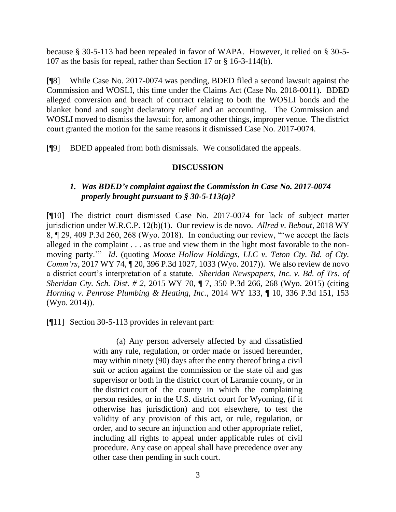because § 30-5-113 had been repealed in favor of WAPA. However, it relied on § 30-5- 107 as the basis for repeal, rather than Section 17 or § 16-3-114(b).

[¶8] While Case No. 2017-0074 was pending, BDED filed a second lawsuit against the Commission and WOSLI, this time under the Claims Act (Case No. 2018-0011). BDED alleged conversion and breach of contract relating to both the WOSLI bonds and the blanket bond and sought declaratory relief and an accounting. The Commission and WOSLI moved to dismiss the lawsuit for, among other things, improper venue. The district court granted the motion for the same reasons it dismissed Case No. 2017-0074.

[¶9] BDED appealed from both dismissals. We consolidated the appeals.

#### **DISCUSSION**

# *1. Was BDED's complaint against the Commission in Case No. 2017-0074 properly brought pursuant to § 30-5-113(a)?*

[¶10] The district court dismissed Case No. 2017-0074 for lack of subject matter jurisdiction under W.R.C.P. 12(b)(1). Our review is de novo. *Allred v. Bebout*, 2018 WY 8, ¶ 29, 409 P.3d 260, 268 (Wyo. 2018). In conducting our review, "'we accept the facts alleged in the complaint . . . as true and view them in the light most favorable to the nonmoving party.'" *Id*. (quoting *Moose Hollow Holdings, LLC v. Teton Cty. Bd. of Cty. Comm'rs*, 2017 WY 74, ¶ 20, 396 P.3d 1027, 1033 (Wyo. 2017)). We also review de novo a district court's interpretation of a statute. *Sheridan Newspapers, Inc. v. Bd. of Trs. of Sheridan Cty. Sch. Dist. # 2*, 2015 WY 70, ¶ 7, 350 P.3d 266, 268 (Wyo. 2015) (citing *Horning v. Penrose Plumbing & Heating, Inc.*, 2014 WY 133, ¶ 10, 336 P.3d 151, 153 (Wyo. 2014)).

[¶11] Section 30-5-113 provides in relevant part:

(a) Any person adversely affected by and dissatisfied with any rule, regulation, or order made or issued hereunder, may within ninety (90) days after the entry thereof bring a civil suit or action against the commission or the state oil and gas supervisor or both in the district court of Laramie county, or in the district court of the county in which the complaining person resides, or in the U.S. district court for Wyoming, (if it otherwise has jurisdiction) and not elsewhere, to test the validity of any provision of this act, or rule, regulation, or order, and to secure an injunction and other appropriate relief, including all rights to appeal under applicable rules of civil procedure. Any case on appeal shall have precedence over any other case then pending in such court.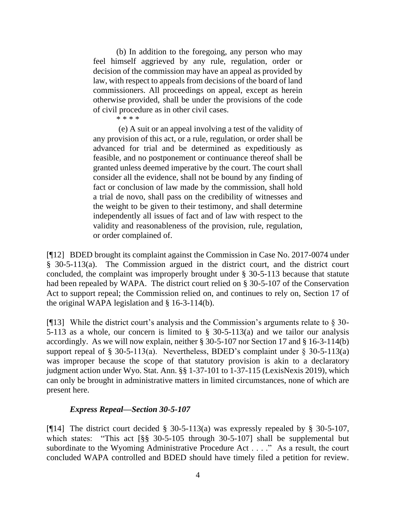(b) In addition to the foregoing, any person who may feel himself aggrieved by any rule, regulation, order or decision of the commission may have an appeal as provided by law, with respect to appeals from decisions of the board of land commissioners. All proceedings on appeal, except as herein otherwise provided, shall be under the provisions of the code of civil procedure as in other civil cases.

\* \* \* \*

(e) A suit or an appeal involving a test of the validity of any provision of this act, or a rule, regulation, or order shall be advanced for trial and be determined as expeditiously as feasible, and no postponement or continuance thereof shall be granted unless deemed imperative by the court. The court shall consider all the evidence, shall not be bound by any finding of fact or conclusion of law made by the commission, shall hold a trial de novo, shall pass on the credibility of witnesses and the weight to be given to their testimony, and shall determine independently all issues of fact and of law with respect to the validity and reasonableness of the provision, rule, regulation, or order complained of.

[¶12] BDED brought its complaint against the Commission in Case No. 2017-0074 under § 30-5-113(a). The Commission argued in the district court, and the district court concluded, the complaint was improperly brought under § 30-5-113 because that statute had been repealed by WAPA. The district court relied on § 30-5-107 of the Conservation Act to support repeal; the Commission relied on, and continues to rely on, Section 17 of the original WAPA legislation and § 16-3-114(b).

[ $[$ [13] While the district court's analysis and the Commission's arguments relate to  $\S$  30-5-113 as a whole, our concern is limited to § 30-5-113(a) and we tailor our analysis accordingly. As we will now explain, neither § 30-5-107 nor Section 17 and § 16-3-114(b) support repeal of § 30-5-113(a). Nevertheless, BDED's complaint under § 30-5-113(a) was improper because the scope of that statutory provision is akin to a declaratory judgment action under Wyo. Stat. Ann. §§ 1-37-101 to 1-37-115 (LexisNexis 2019), which can only be brought in administrative matters in limited circumstances, none of which are present here.

#### *Express Repeal—Section 30-5-107*

[ $[14]$ ] The district court decided § 30-5-113(a) was expressly repealed by § 30-5-107, which states: "This act [§§ 30-5-105 through 30-5-107] shall be supplemental but subordinate to the Wyoming Administrative Procedure Act . . . ." As a result, the court concluded WAPA controlled and BDED should have timely filed a petition for review.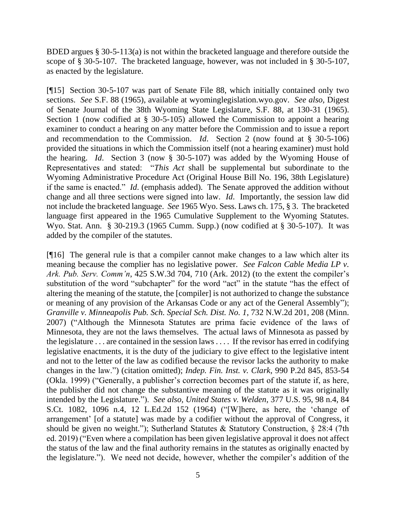BDED argues § 30-5-113(a) is not within the bracketed language and therefore outside the scope of § 30-5-107. The bracketed language, however, was not included in § 30-5-107, as enacted by the legislature.

[¶15] Section 30-5-107 was part of Senate File 88, which initially contained only two sections. *See* S.F. 88 (1965), available at wyominglegislation.wyo.gov. *See also,* Digest of Senate Journal of the 38th Wyoming State Legislature, S.F. 88, at 130-31 (1965). Section 1 (now codified at § 30-5-105) allowed the Commission to appoint a hearing examiner to conduct a hearing on any matter before the Commission and to issue a report and recommendation to the Commission. *Id*. Section 2 (now found at § 30-5-106) provided the situations in which the Commission itself (not a hearing examiner) must hold the hearing. *Id*. Section 3 (now § 30-5-107) was added by the Wyoming House of Representatives and stated: "*This Act* shall be supplemental but subordinate to the Wyoming Administrative Procedure Act (Original House Bill No. 196, 38th Legislature) if the same is enacted." *Id*. (emphasis added). The Senate approved the addition without change and all three sections were signed into law. *Id*. Importantly, the session law did not include the bracketed language. *See* 1965 Wyo. Sess. Laws ch. 175, § 3. The bracketed language first appeared in the 1965 Cumulative Supplement to the Wyoming Statutes. Wyo. Stat. Ann. § 30-219.3 (1965 Cumm. Supp.) (now codified at § 30-5-107). It was added by the compiler of the statutes.

[¶16] The general rule is that a compiler cannot make changes to a law which alter its meaning because the complier has no legislative power. *See Falcon Cable Media LP v. Ark. Pub. Serv. Comm'n*, 425 S.W.3d 704, 710 (Ark. 2012) (to the extent the compiler's substitution of the word "subchapter" for the word "act" in the statute "has the effect of altering the meaning of the statute, the [compiler] is not authorized to change the substance or meaning of any provision of the Arkansas Code or any act of the General Assembly"); *Granville v. Minneapolis Pub. Sch. Special Sch. Dist. No. 1*, 732 N.W.2d 201, 208 (Minn. 2007) ("Although the Minnesota Statutes are prima facie evidence of the laws of Minnesota, they are not the laws themselves. The actual laws of Minnesota as passed by the legislature . . . are contained in the session laws . . . . If the revisor has erred in codifying legislative enactments, it is the duty of the judiciary to give effect to the legislative intent and not to the letter of the law as codified because the revisor lacks the authority to make changes in the law.") (citation omitted); *Indep. Fin. Inst. v. Clark*, 990 P.2d 845, 853-54 (Okla. 1999) ("Generally, a publisher's correction becomes part of the statute if, as here, the publisher did not change the substantive meaning of the statute as it was originally intended by the Legislature."). *See also, United States v. Welden*, 377 U.S. 95, 98 n.4, 84 S.Ct. 1082, 1096 n.4, 12 L.Ed.2d 152 (1964) ("[W]here, as here, the 'change of arrangement' [of a statute] was made by a codifier without the approval of Congress, it should be given no weight."); Sutherland Statutes & Statutory Construction, § 28:4 (7th ed. 2019) ("Even where a compilation has been given legislative approval it does not affect the status of the law and the final authority remains in the statutes as originally enacted by the legislature."). We need not decide, however, whether the compiler's addition of the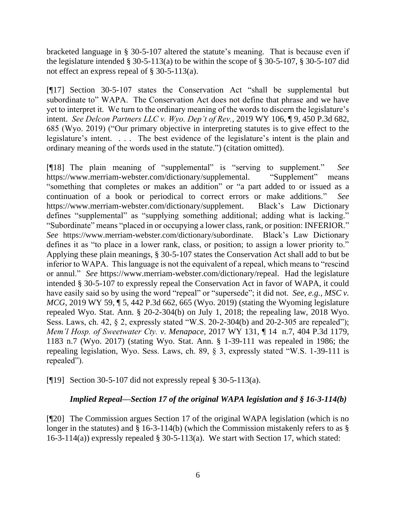bracketed language in § 30-5-107 altered the statute's meaning. That is because even if the legislature intended  $\S 30-5-113(a)$  to be within the scope of  $\S 30-5-107$ ,  $\S 30-5-107$  did not effect an express repeal of § 30-5-113(a).

[¶17] Section 30-5-107 states the Conservation Act "shall be supplemental but subordinate to" WAPA. The Conservation Act does not define that phrase and we have yet to interpret it. We turn to the ordinary meaning of the words to discern the legislature's intent. *See Delcon Partners LLC v. Wyo. Dep't of Rev.*, 2019 WY 106, ¶ 9, 450 P.3d 682, 685 (Wyo. 2019) ("Our primary objective in interpreting statutes is to give effect to the legislature's intent. . . . The best evidence of the legislature's intent is the plain and ordinary meaning of the words used in the statute.") (citation omitted).

[¶18] The plain meaning of "supplemental" is "serving to supplement." *See*  https://www.merriam-webster.com/dictionary/supplemental. "Supplement" means "something that completes or makes an addition" or "a part added to or issued as a continuation of a book or periodical to correct errors or make additions." *See* https://www.merriam-webster.com/dictionary/supplement. Black's Law Dictionary defines "supplemental" as "supplying something additional; adding what is lacking." "Subordinate" means "placed in or occupying a lower class, rank, or position: INFERIOR." *See* https://www.merriam-webster.com/dictionary/subordinate. Black's Law Dictionary defines it as "to place in a lower rank, class, or position; to assign a lower priority to." Applying these plain meanings, § 30-5-107 states the Conservation Act shall add to but be inferior to WAPA. This language is not the equivalent of a repeal, which means to "rescind or annul." *See* https://www.merriam-webster.com/dictionary/repeal. Had the legislature intended § 30-5-107 to expressly repeal the Conservation Act in favor of WAPA, it could have easily said so by using the word "repeal" or "supersede"; it did not. *See, e.g., MSC v. MCG*, 2019 WY 59, 15, 442 P.3d 662, 665 (Wyo. 2019) (stating the Wyoming legislature repealed Wyo. Stat. Ann. § 20-2-304(b) on July 1, 2018; the repealing law, 2018 Wyo. Sess. Laws, ch. 42, § 2, expressly stated "W.S. 20-2-304(b) and 20-2-305 are repealed"); *Mem'l Hosp. of Sweetwater Cty. v. Menapace*, 2017 WY 131, ¶ 14 n.7, 404 P.3d 1179, 1183 n.7 (Wyo. 2017) (stating Wyo. Stat. Ann. § 1-39-111 was repealed in 1986; the repealing legislation, Wyo. Sess. Laws, ch. 89, § 3, expressly stated "W.S. 1-39-111 is repealed").

[¶19] Section 30-5-107 did not expressly repeal § 30-5-113(a).

# *Implied Repeal—Section 17 of the original WAPA legislation and § 16-3-114(b)*

[¶20] The Commission argues Section 17 of the original WAPA legislation (which is no longer in the statutes) and § 16-3-114(b) (which the Commission mistakenly refers to as § 16-3-114(a)) expressly repealed  $\S$  30-5-113(a). We start with Section 17, which stated: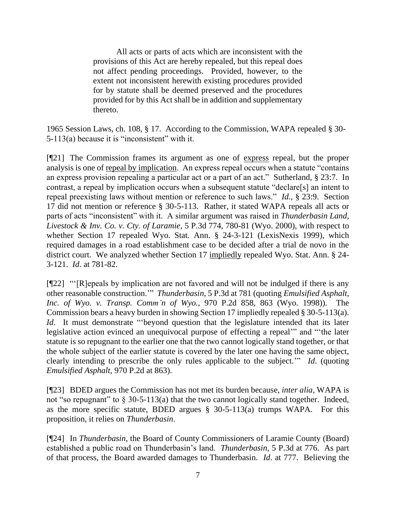All acts or parts of acts which are inconsistent with the provisions of this Act are hereby repealed, but this repeal does not affect pending proceedings. Provided, however, to the extent not inconsistent herewith existing procedures provided for by statute shall be deemed preserved and the procedures provided for by this Act shall be in addition and supplementary thereto.

1965 Session Laws, ch. 108, § 17. According to the Commission, WAPA repealed § 30- 5-113(a) because it is "inconsistent" with it.

[¶21] The Commission frames its argument as one of express repeal, but the proper analysis is one of repeal by implication. An express repeal occurs when a statute "contains an express provision repealing a particular act or a part of an act." Sutherland, § 23:7. In contrast, a repeal by implication occurs when a subsequent statute "declare[s] an intent to repeal preexisting laws without mention or reference to such laws." *Id.*, § 23:9. Section 17 did not mention or reference § 30-5-113. Rather, it stated WAPA repeals all acts or parts of acts "inconsistent" with it. A similar argument was raised in *Thunderbasin Land, Livestock & Inv. Co. v. Cty. of Laramie*, 5 P.3d 774, 780-81 (Wyo. 2000), with respect to whether Section 17 repealed Wyo. Stat. Ann. § 24-3-121 (LexisNexis 1999), which required damages in a road establishment case to be decided after a trial de novo in the district court. We analyzed whether Section 17 impliedly repealed Wyo. Stat. Ann. § 24- 3-121. *Id*. at 781-82.

[¶22] "'[R]epeals by implication are not favored and will not be indulged if there is any other reasonable construction.'" *Thunderbasin*, 5 P.3d at 781 (quoting *Emulsified Asphalt, Inc. of Wyo. v. Transp. Comm'n of Wyo.*, 970 P.2d 858, 863 (Wyo. 1998)). The Commission bears a heavy burden in showing Section 17 impliedly repealed § 30-5-113(a). *Id*. It must demonstrate "beyond question that the legislature intended that its later legislative action evinced an unequivocal purpose of effecting a repeal'" and "'the later statute is so repugnant to the earlier one that the two cannot logically stand together, or that the whole subject of the earlier statute is covered by the later one having the same object, clearly intending to prescribe the only rules applicable to the subject.'" *Id*. (quoting *Emulsified Asphalt*, 970 P.2d at 863).

[¶23] BDED argues the Commission has not met its burden because, *inter alia*, WAPA is not "so repugnant" to  $\S$  30-5-113(a) that the two cannot logically stand together. Indeed, as the more specific statute, BDED argues § 30-5-113(a) trumps WAPA. For this proposition, it relies on *Thunderbasin*.

[¶24] In *Thunderbasin,* the Board of County Commissioners of Laramie County (Board) established a public road on Thunderbasin's land. *Thunderbasin*, 5 P.3d at 776. As part of that process, the Board awarded damages to Thunderbasin. *Id*. at 777. Believing the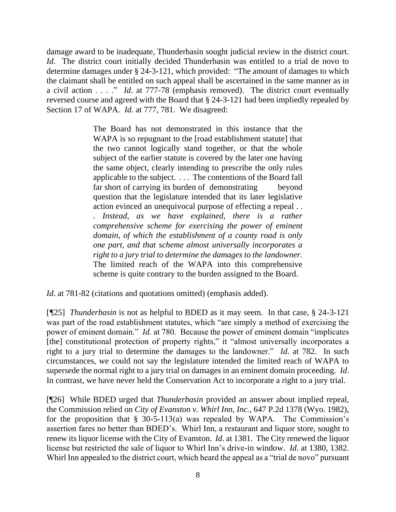damage award to be inadequate, Thunderbasin sought judicial review in the district court. *Id.* The district court initially decided Thunderbasin was entitled to a trial de novo to determine damages under § 24-3-121, which provided: "The amount of damages to which the claimant shall be entitled on such appeal shall be ascertained in the same manner as in a civil action . . . ." *Id*. at 777-78 (emphasis removed). The district court eventually reversed course and agreed with the Board that § 24-3-121 had been impliedly repealed by Section 17 of WAPA. *Id.* at 777, 781. We disagreed:

> The Board has not demonstrated in this instance that the WAPA is so repugnant to the [road establishment statute] that the two cannot logically stand together, or that the whole subject of the earlier statute is covered by the later one having the same object, clearly intending to prescribe the only rules applicable to the subject. . . . The contentions of the Board fall far short of carrying its burden of demonstrating beyond question that the legislature intended that its later legislative action evinced an unequivocal purpose of effecting a repeal . . . *Instead, as we have explained, there is a rather comprehensive scheme for exercising the power of eminent domain, of which the establishment of a county road is only one part, and that scheme almost universally incorporates a right to a jury trial to determine the damages to the landowner.*  The limited reach of the WAPA into this comprehensive scheme is quite contrary to the burden assigned to the Board.

*Id.* at 781-82 (citations and quotations omitted) (emphasis added).

[*¶*25] *Thunderbasin* is not as helpful to BDED as it may seem. In that case, § 24-3-121 was part of the road establishment statutes, which "are simply a method of exercising the power of eminent domain." *Id*. at 780. Because the power of eminent domain "implicates [the] constitutional protection of property rights," it "almost universally incorporates a right to a jury trial to determine the damages to the landowner." *Id*. at 782. In such circumstances, we could not say the legislature intended the limited reach of WAPA to supersede the normal right to a jury trial on damages in an eminent domain proceeding. *Id*. In contrast, we have never held the Conservation Act to incorporate a right to a jury trial.

[¶26] While BDED urged that *Thunderbasin* provided an answer about implied repeal, the Commission relied on *City of Evanston v. Whirl Inn, Inc.*, 647 P.2d 1378 (Wyo. 1982), for the proposition that  $\S$  30-5-113(a) was repealed by WAPA. The Commission's assertion fares no better than BDED's. Whirl Inn, a restaurant and liquor store, sought to renew its liquor license with the City of Evanston. *Id*. at 1381. The City renewed the liquor license but restricted the sale of liquor to Whirl Inn's drive-in window. *Id*. at 1380, 1382. Whirl Inn appealed to the district court, which heard the appeal as a "trial de novo" pursuant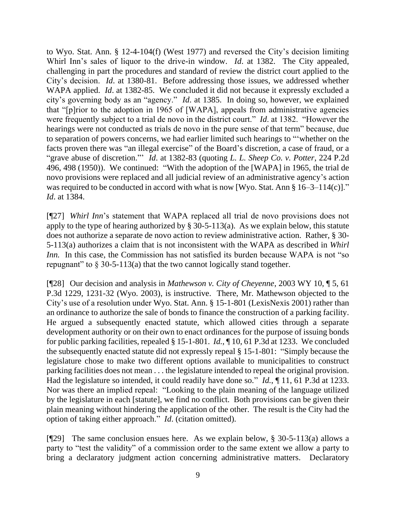to Wyo. Stat. Ann. § 12-4-104(f) (West 1977) and reversed the City's decision limiting Whirl Inn's sales of liquor to the drive-in window. *Id*. at 1382. The City appealed, challenging in part the procedures and standard of review the district court applied to the City's decision. *Id*. at 1380-81. Before addressing those issues, we addressed whether WAPA applied. *Id*. at 1382-85. We concluded it did not because it expressly excluded a city's governing body as an "agency." *Id*. at 1385. In doing so, however, we explained that "[p]rior to the adoption in 1965 of [WAPA], appeals from administrative agencies were frequently subject to a trial de novo in the district court." *Id*. at 1382. "However the hearings were not conducted as trials de novo in the pure sense of that term" because, due to separation of powers concerns, we had earlier limited such hearings to "'whether on the facts proven there was "an illegal exercise" of the Board's discretion, a case of fraud, or a "grave abuse of discretion."' *Id*. at 1382-83 (quoting *L. L. Sheep Co. v. Potter*, 224 P.2d 496, 498 (1950)). We continued: "With the adoption of the [WAPA] in 1965, the trial de novo provisions were replaced and all judicial review of an administrative agency's action was required to be conducted in accord with what is now [Wyo. Stat. Ann § 16–3–114(c)]." *Id*. at 1384.

[¶27] *Whirl Inn*'s statement that WAPA replaced all trial de novo provisions does not apply to the type of hearing authorized by  $\S 30-5-113(a)$ . As we explain below, this statute does not authorize a separate de novo action to review administrative action. Rather, § 30- 5-113(a) authorizes a claim that is not inconsistent with the WAPA as described in *Whirl Inn.* In this case, the Commission has not satisfied its burden because WAPA is not "so repugnant" to  $\S 30-5-113(a)$  that the two cannot logically stand together.

[¶28] Our decision and analysis in *Mathewson v. City of Cheyenne*, 2003 WY 10, ¶ 5, 61 P.3d 1229, 1231-32 (Wyo. 2003), is instructive. There, Mr. Mathewson objected to the City's use of a resolution under Wyo. Stat. Ann. § 15-1-801 (LexisNexis 2001) rather than an ordinance to authorize the sale of bonds to finance the construction of a parking facility. He argued a subsequently enacted statute, which allowed cities through a separate development authority or on their own to enact ordinances for the purpose of issuing bonds for public parking facilities, repealed § 15-1-801. *Id.*, ¶ 10, 61 P.3d at 1233. We concluded the subsequently enacted statute did not expressly repeal § 15-1-801: "Simply because the legislature chose to make two different options available to municipalities to construct parking facilities does not mean . . . the legislature intended to repeal the original provision. Had the legislature so intended, it could readily have done so." *Id.*, ¶ 11, 61 P.3d at 1233. Nor was there an implied repeal: "Looking to the plain meaning of the language utilized by the legislature in each [statute], we find no conflict. Both provisions can be given their plain meaning without hindering the application of the other. The result is the City had the option of taking either approach." *Id*. (citation omitted).

[¶29] The same conclusion ensues here. As we explain below, § 30-5-113(a) allows a party to "test the validity" of a commission order to the same extent we allow a party to bring a declaratory judgment action concerning administrative matters. Declaratory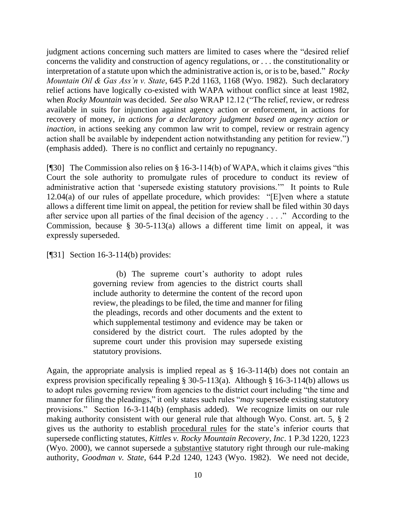judgment actions concerning such matters are limited to cases where the "desired relief concerns the validity and construction of agency regulations, or . . . the constitutionality or interpretation of a statute upon which the administrative action is, or is to be, based." *Rocky Mountain Oil & Gas Ass'n v. State*, 645 P.2d 1163, 1168 (Wyo. 1982). Such declaratory relief actions have logically co-existed with WAPA without conflict since at least 1982, when *Rocky Mountain* was decided. *See also* WRAP 12.12 ("The relief, review, or redress available in suits for injunction against agency action or enforcement, in actions for recovery of money, *in actions for a declaratory judgment based on agency action or inaction*, in actions seeking any common law writ to compel, review or restrain agency action shall be available by independent action notwithstanding any petition for review.") (emphasis added). There is no conflict and certainly no repugnancy.

[¶30] The Commission also relies on § 16-3-114(b) of WAPA, which it claims gives "this Court the sole authority to promulgate rules of procedure to conduct its review of administrative action that 'supersede existing statutory provisions.'" It points to Rule 12.04(a) of our rules of appellate procedure, which provides: "[E]ven where a statute allows a different time limit on appeal, the petition for review shall be filed within 30 days after service upon all parties of the final decision of the agency . . . ." According to the Commission, because § 30-5-113(a) allows a different time limit on appeal, it was expressly superseded.

[¶31] Section 16-3-114(b) provides:

(b) The supreme court's authority to adopt rules governing review from agencies to the district courts shall include authority to determine the content of the record upon review, the pleadings to be filed, the time and manner for filing the pleadings, records and other documents and the extent to which supplemental testimony and evidence may be taken or considered by the district court. The rules adopted by the supreme court under this provision may supersede existing statutory provisions.

Again, the appropriate analysis is implied repeal as § 16-3-114(b) does not contain an express provision specifically repealing § 30-5-113(a). Although § 16-3-114(b) allows us to adopt rules governing review from agencies to the district court including "the time and manner for filing the pleadings," it only states such rules "*may* supersede existing statutory provisions." Section 16-3-114(b) (emphasis added). We recognize limits on our rule making authority consistent with our general rule that although Wyo. Const. art. 5, § 2 gives us the authority to establish procedural rules for the state's inferior courts that supersede conflicting statutes, *Kittles v. Rocky Mountain Recovery, Inc*. 1 P.3d 1220, 1223 (Wyo. 2000), we cannot supersede a substantive statutory right through our rule-making authority, *Goodman v. State*, 644 P.2d 1240, 1243 (Wyo. 1982). We need not decide,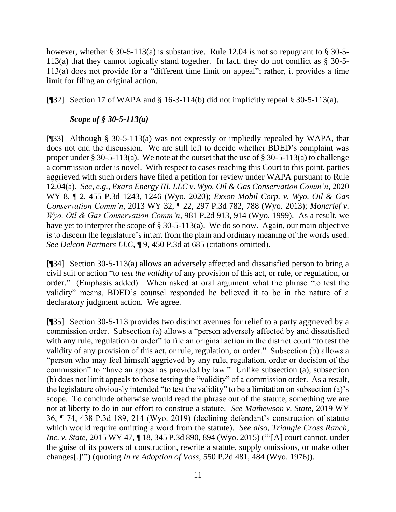however, whether  $\S 30-5-113(a)$  is substantive. Rule 12.04 is not so repugnant to  $\S 30-5-$ 113(a) that they cannot logically stand together. In fact, they do not conflict as § 30-5- 113(a) does not provide for a "different time limit on appeal"; rather, it provides a time limit for filing an original action.

[ $[$ ][32] Section 17 of WAPA and § 16-3-114(b) did not implicitly repeal § 30-5-113(a).

# *Scope of § 30-5-113(a)*

[¶33] Although § 30-5-113(a) was not expressly or impliedly repealed by WAPA, that does not end the discussion. We are still left to decide whether BDED's complaint was proper under § 30-5-113(a). We note at the outset that the use of § 30-5-113(a) to challenge a commission order is novel. With respect to cases reaching this Court to this point, parties aggrieved with such orders have filed a petition for review under WAPA pursuant to Rule 12.04(a). *See, e.g., Exaro Energy III, LLC v. Wyo. Oil & Gas Conservation Comm'n*, 2020 WY 8, ¶ 2, 455 P.3d 1243, 1246 (Wyo. 2020); *Exxon Mobil Corp. v. Wyo. Oil & Gas Conservation Comm'n*, 2013 WY 32, ¶ 22, 297 P.3d 782, 788 (Wyo. 2013); *Moncrief v. Wyo. Oil & Gas Conservation Comm'n*, 981 P.2d 913, 914 (Wyo. 1999). As a result, we have yet to interpret the scope of § 30-5-113(a). We do so now. Again, our main objective is to discern the legislature's intent from the plain and ordinary meaning of the words used. *See Delcon Partners LLC*, ¶ 9, 450 P.3d at 685 (citations omitted).

[¶34] Section 30-5-113(a) allows an adversely affected and dissatisfied person to bring a civil suit or action "to *test the validity* of any provision of this act, or rule, or regulation, or order." (Emphasis added). When asked at oral argument what the phrase "to test the validity" means, BDED's counsel responded he believed it to be in the nature of a declaratory judgment action. We agree.

[¶35] Section 30-5-113 provides two distinct avenues for relief to a party aggrieved by a commission order. Subsection (a) allows a "person adversely affected by and dissatisfied with any rule, regulation or order" to file an original action in the district court "to test the validity of any provision of this act, or rule, regulation, or order." Subsection (b) allows a "person who may feel himself aggrieved by any rule, regulation, order or decision of the commission" to "have an appeal as provided by law." Unlike subsection (a), subsection (b) does not limit appeals to those testing the "validity" of a commission order. As a result, the legislature obviously intended "to test the validity" to be a limitation on subsection (a)'s scope. To conclude otherwise would read the phrase out of the statute, something we are not at liberty to do in our effort to construe a statute. *See Mathewson v. State*, 2019 WY 36, ¶ 74, 438 P.3d 189, 214 (Wyo. 2019) (declining defendant's construction of statute which would require omitting a word from the statute). *See also, Triangle Cross Ranch, Inc. v. State*, 2015 WY 47, ¶ 18, 345 P.3d 890, 894 (Wyo. 2015) ("'[A] court cannot, under the guise of its powers of construction, rewrite a statute, supply omissions, or make other changes[.]'") (quoting *In re Adoption of Voss*, 550 P.2d 481, 484 (Wyo. 1976)).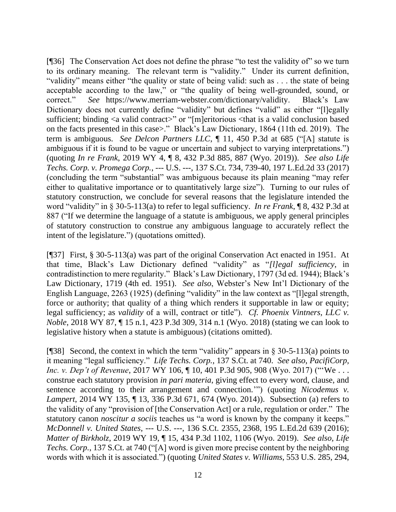[¶36] The Conservation Act does not define the phrase "to test the validity of" so we turn to its ordinary meaning. The relevant term is "validity." Under its current definition, "validity" means either "the quality or state of being valid: such as . . . the state of being acceptable according to the law," or "the quality of being well-grounded, sound, or correct." *See* https://www.merriam-webster.com/dictionary/validity. Black's Law Dictionary does not currently define "validity" but defines "valid" as either "[l]egally sufficient; binding <a valid contract>" or "[m]eritorious <that is a valid conclusion based on the facts presented in this case>." Black's Law Dictionary, 1864 (11th ed. 2019). The term is ambiguous. *See Delcon Partners LLC*, ¶ 11, 450 P.3d at 685 ("[A] statute is ambiguous if it is found to be vague or uncertain and subject to varying interpretations.") (quoting *In re Frank*, 2019 WY 4, ¶ 8, 432 P.3d 885, 887 (Wyo. 2019)). *See also Life Techs. Corp. v. Promega Corp.*, --- U.S. ---, 137 S.Ct. 734, 739-40, 197 L.Ed.2d 33 (2017) (concluding the term "substantial" was ambiguous because its plain meaning "may refer either to qualitative importance or to quantitatively large size"). Turning to our rules of statutory construction, we conclude for several reasons that the legislature intended the word "validity" in § 30-5-113(a) to refer to legal sufficiency. *In re Frank*, ¶ 8, 432 P.3d at 887 ("If we determine the language of a statute is ambiguous, we apply general principles of statutory construction to construe any ambiguous language to accurately reflect the intent of the legislature.") (quotations omitted).

[¶37] First, § 30-5-113(a) was part of the original Conservation Act enacted in 1951. At that time, Black's Law Dictionary defined "validity" as "*[l]egal sufficiency*, in contradistinction to mere regularity." Black's Law Dictionary, 1797 (3d ed. 1944); Black's Law Dictionary, 1719 (4th ed. 1951). *See also*, Webster's New Int'l Dictionary of the English Language, 2263 (1925) (defining "validity" in the law context as "[l]egal strength, force or authority; that quality of a thing which renders it supportable in law or equity; legal sufficiency; as *validity* of a will, contract or title"). *Cf. Phoenix Vintners, LLC v. Noble*, 2018 WY 87, ¶ 15 n.1, 423 P.3d 309, 314 n.1 (Wyo. 2018) (stating we can look to legislative history when a statute is ambiguous) (citations omitted).

[ $[$ 38] Second, the context in which the term "validity" appears in § 30-5-113(a) points to it meaning "legal sufficiency." *Life Techs. Corp.*, 137 S.Ct. at 740. *See also*, *PacifiCorp, Inc. v. Dep't of Revenue*, 2017 WY 106, ¶ 10, 401 P.3d 905, 908 (Wyo. 2017) ("'We... construe each statutory provision *in pari materia*, giving effect to every word, clause, and sentence according to their arrangement and connection.'") (quoting *Nicodemus v. Lampert*, 2014 WY 135, ¶ 13, 336 P.3d 671, 674 (Wyo. 2014)). Subsection (a) refers to the validity of any "provision of [the Conservation Act] or a rule, regulation or order." The statutory canon *noscitur a sociis* teaches us "a word is known by the company it keeps." *McDonnell v. United States*, --- U.S. ---, 136 S.Ct. 2355, 2368, 195 L.Ed.2d 639 (2016); *Matter of Birkholz*, 2019 WY 19, ¶ 15, 434 P.3d 1102, 1106 (Wyo. 2019). *See also, Life Techs. Corp.*, 137 S.Ct. at 740 ("[A] word is given more precise content by the neighboring words with which it is associated.") (quoting *United States v. Williams*, 553 U.S. 285, 294,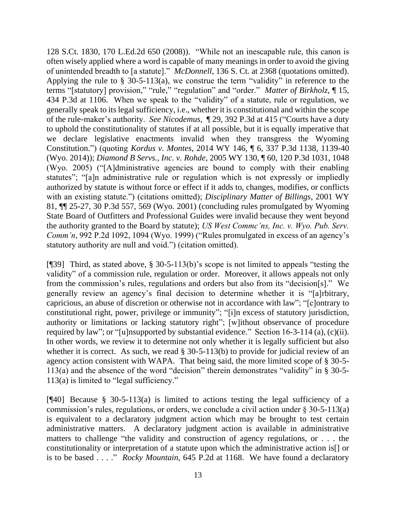128 S.Ct. 1830, 170 L.Ed.2d 650 (2008)). "While not an inescapable rule, this canon is often wisely applied where a word is capable of many meanings in order to avoid the giving of unintended breadth to [a statute]." *McDonnell*, 136 S. Ct. at 2368 (quotations omitted). Applying the rule to  $\S$  30-5-113(a), we construe the term "validity" in reference to the terms "[statutory] provision," "rule," "regulation" and "order." *Matter of Birkholz*, ¶ 15, 434 P.3d at 1106. When we speak to the "validity" of a statute, rule or regulation, we generally speak to its legal sufficiency, i.e., whether it is constitutional and within the scope of the rule-maker's authority. *See Nicodemus,* ¶ 29, 392 P.3d at 415 ("Courts have a duty to uphold the constitutionality of statutes if at all possible, but it is equally imperative that we declare legislative enactments invalid when they transgress the Wyoming Constitution.") (quoting *Kordus v. Montes*, 2014 WY 146, ¶ 6, 337 P.3d 1138, 1139-40 (Wyo. 2014)); *Diamond B Servs., Inc. v. Rohde*, 2005 WY 130, ¶ 60, 120 P.3d 1031, 1048 (Wyo. 2005) ("[A]dministrative agencies are bound to comply with their enabling statutes"; "[a]n administrative rule or regulation which is not expressly or impliedly authorized by statute is without force or effect if it adds to, changes, modifies, or conflicts with an existing statute.") (citations omitted); *Disciplinary Matter of Billings*, 2001 WY 81, ¶¶ 25-27, 30 P.3d 557, 569 (Wyo. 2001) (concluding rules promulgated by Wyoming State Board of Outfitters and Professional Guides were invalid because they went beyond the authority granted to the Board by statute); *US West Commc'ns, Inc. v. Wyo. Pub. Serv. Comm'n*, 992 P.2d 1092, 1094 (Wyo. 1999) ("Rules promulgated in excess of an agency's statutory authority are null and void.") (citation omitted).

[¶39] Third, as stated above, § 30-5-113(b)'s scope is not limited to appeals "testing the validity" of a commission rule, regulation or order. Moreover, it allows appeals not only from the commission's rules, regulations and orders but also from its "decision[s]." We generally review an agency's final decision to determine whether it is "[a]rbitrary, capricious, an abuse of discretion or otherwise not in accordance with law"; "[c]ontrary to constitutional right, power, privilege or immunity"; "[i]n excess of statutory jurisdiction, authority or limitations or lacking statutory right"; [w]ithout observance of procedure required by law"; or "[u]nsupported by substantial evidence." Section 16-3-114 (a), (c)(ii). In other words, we review it to determine not only whether it is legally sufficient but also whether it is correct. As such, we read § 30-5-113(b) to provide for judicial review of an agency action consistent with WAPA. That being said, the more limited scope of § 30-5- 113(a) and the absence of the word "decision" therein demonstrates "validity" in § 30-5- 113(a) is limited to "legal sufficiency."

[¶40] Because § 30-5-113(a) is limited to actions testing the legal sufficiency of a commission's rules, regulations, or orders, we conclude a civil action under  $\S 30-5-113(a)$ is equivalent to a declaratory judgment action which may be brought to test certain administrative matters. A declaratory judgment action is available in administrative matters to challenge "the validity and construction of agency regulations, or . . . the constitutionality or interpretation of a statute upon which the administrative action is[] or is to be based . . . ." *Rocky Mountain*, 645 P.2d at 1168. We have found a declaratory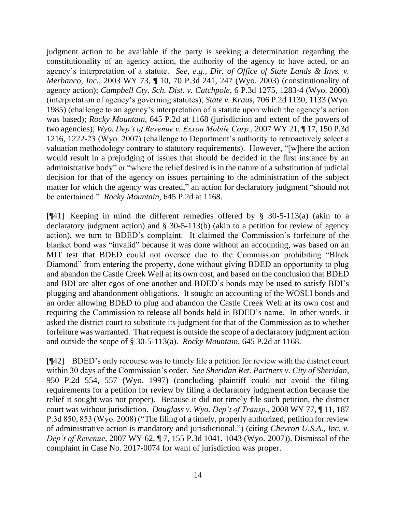judgment action to be available if the party is seeking a determination regarding the constitutionality of an agency action, the authority of the agency to have acted, or an agency's interpretation of a statute. *See, e.g., Dir. of Office of State Lands & Invs. v. Merbanco, Inc.*, 2003 WY 73, ¶ 10, 70 P.3d 241, 247 (Wyo. 2003) (constitutionality of agency action); *Campbell Cty. Sch. Dist. v. Catchpole*, 6 P.3d 1275, 1283-4 (Wyo. 2000) (interpretation of agency's governing statutes); *State v. Kraus*, 706 P.2d 1130, 1133 (Wyo. 1985) (challenge to an agency's interpretation of a statute upon which the agency's action was based); *Rocky Mountain*, 645 P.2d at 1168 (jurisdiction and extent of the powers of two agencies); *Wyo. Dep't of Revenue v. Exxon Mobile Corp.*, 2007 WY 21, ¶ 17, 150 P.3d 1216, 1222-23 (Wyo. 2007) (challenge to Department's authority to retroactively select a valuation methodology contrary to statutory requirements). However, "[w]here the action would result in a prejudging of issues that should be decided in the first instance by an administrative body" or "where the relief desired is in the nature of a substitution of judicial decision for that of the agency on issues pertaining to the administration of the subject matter for which the agency was created," an action for declaratory judgment "should not be entertained." *Rocky Mountain*, 645 P.2d at 1168.

[¶41] Keeping in mind the different remedies offered by § 30-5-113(a) (akin to a declaratory judgment action) and § 30-5-113(b) (akin to a petition for review of agency action), we turn to BDED's complaint. It claimed the Commission's forfeiture of the blanket bond was "invalid" because it was done without an accounting, was based on an MIT test that BDED could not oversee due to the Commission prohibiting "Black Diamond" from entering the property, done without giving BDED an opportunity to plug and abandon the Castle Creek Well at its own cost, and based on the conclusion that BDED and BDI are alter egos of one another and BDED's bonds may be used to satisfy BDI's plugging and abandonment obligations. It sought an accounting of the WOSLI bonds and an order allowing BDED to plug and abandon the Castle Creek Well at its own cost and requiring the Commission to release all bonds held in BDED's name. In other words, it asked the district court to substitute its judgment for that of the Commission as to whether forfeiture was warranted. That request is outside the scope of a declaratory judgment action and outside the scope of § 30-5-113(a). *Rocky Mountain*, 645 P.2d at 1168.

[¶42] BDED's only recourse was to timely file a petition for review with the district court within 30 days of the Commission's order. *See Sheridan Ret. Partners v. City of Sheridan*, 950 P.2d 554, 557 (Wyo. 1997) (concluding plaintiff could not avoid the filing requirements for a petition for review by filing a declaratory judgment action because the relief it sought was not proper). Because it did not timely file such petition, the district court was without jurisdiction. *Douglass v. Wyo. Dep't of Transp.*, 2008 WY 77, ¶ 11, 187 P.3d 850, 853 (Wyo. 2008) ("The filing of a timely, properly authorized, petition for review of administrative action is mandatory and jurisdictional.") (citing *Chevron U.S.A., Inc. v. Dep't of Revenue*, 2007 WY 62, ¶ 7, 155 P.3d 1041, 1043 (Wyo. 2007)). Dismissal of the complaint in Case No. 2017-0074 for want of jurisdiction was proper.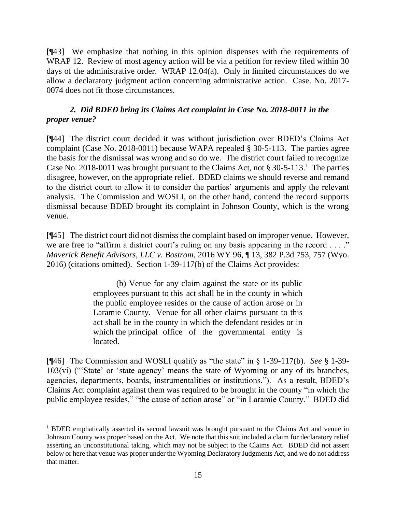[¶43] We emphasize that nothing in this opinion dispenses with the requirements of WRAP 12. Review of most agency action will be via a petition for review filed within 30 days of the administrative order. WRAP 12.04(a). Only in limited circumstances do we allow a declaratory judgment action concerning administrative action. Case. No. 2017- 0074 does not fit those circumstances.

# *2. Did BDED bring its Claims Act complaint in Case No. 2018-0011 in the proper venue?*

[¶44] The district court decided it was without jurisdiction over BDED's Claims Act complaint (Case No. 2018-0011) because WAPA repealed § 30-5-113. The parties agree the basis for the dismissal was wrong and so do we. The district court failed to recognize Case No. 2018-0011 was brought pursuant to the Claims Act, not  $\S 30-5-113$ .<sup>1</sup> The parties disagree, however, on the appropriate relief. BDED claims we should reverse and remand to the district court to allow it to consider the parties' arguments and apply the relevant analysis. The Commission and WOSLI, on the other hand, contend the record supports dismissal because BDED brought its complaint in Johnson County, which is the wrong venue.

[¶45] The district court did not dismiss the complaint based on improper venue. However, we are free to "affirm a district court's ruling on any basis appearing in the record . . . ." *Maverick Benefit Advisors, LLC v. Bostrom*, 2016 WY 96, ¶ 13, 382 P.3d 753, 757 (Wyo. 2016) (citations omitted). Section 1-39-117(b) of the Claims Act provides:

> (b) Venue for any claim against the state or its public employees pursuant to this act shall be in the county in which the public employee resides or the cause of action arose or in Laramie County. Venue for all other claims pursuant to this act shall be in the county in which the defendant resides or in which the principal office of the governmental entity is located.

[¶46] The Commission and WOSLI qualify as "the state" in § 1-39-117(b). *See* § 1-39- 103(vi) ("'State' or 'state agency' means the state of Wyoming or any of its branches, agencies, departments, boards, instrumentalities or institutions."). As a result, BDED's Claims Act complaint against them was required to be brought in the county "in which the public employee resides," "the cause of action arose" or "in Laramie County." BDED did

<sup>&</sup>lt;sup>1</sup> BDED emphatically asserted its second lawsuit was brought pursuant to the Claims Act and venue in Johnson County was proper based on the Act. We note that this suit included a claim for declaratory relief asserting an unconstitutional taking, which may not be subject to the Claims Act. BDED did not assert below or here that venue was proper under the Wyoming Declaratory Judgments Act, and we do not address that matter.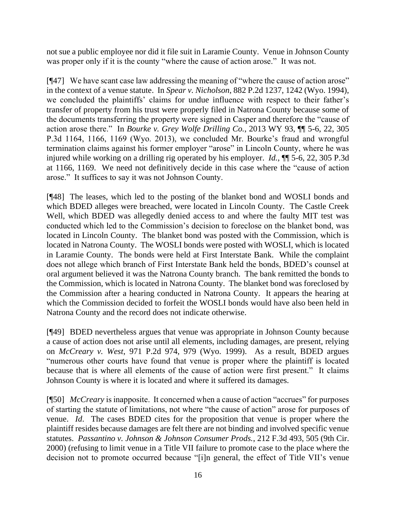not sue a public employee nor did it file suit in Laramie County. Venue in Johnson County was proper only if it is the county "where the cause of action arose." It was not.

[¶47] We have scant case law addressing the meaning of "where the cause of action arose" in the context of a venue statute. In *Spear v. Nicholson*, 882 P.2d 1237, 1242 (Wyo. 1994), we concluded the plaintiffs' claims for undue influence with respect to their father's transfer of property from his trust were properly filed in Natrona County because some of the documents transferring the property were signed in Casper and therefore the "cause of action arose there." In *Bourke v. Grey Wolfe Drilling Co.*, 2013 WY 93, ¶¶ 5-6, 22, 305 P.3d 1164, 1166, 1169 (Wyo. 2013), we concluded Mr. Bourke's fraud and wrongful termination claims against his former employer "arose" in Lincoln County, where he was injured while working on a drilling rig operated by his employer. *Id.*, ¶¶ 5-6, 22, 305 P.3d at 1166, 1169. We need not definitively decide in this case where the "cause of action arose." It suffices to say it was not Johnson County.

[¶48] The leases, which led to the posting of the blanket bond and WOSLI bonds and which BDED alleges were breached, were located in Lincoln County. The Castle Creek Well, which BDED was allegedly denied access to and where the faulty MIT test was conducted which led to the Commission's decision to foreclose on the blanket bond, was located in Lincoln County. The blanket bond was posted with the Commission, which is located in Natrona County. The WOSLI bonds were posted with WOSLI, which is located in Laramie County. The bonds were held at First Interstate Bank. While the complaint does not allege which branch of First Interstate Bank held the bonds, BDED's counsel at oral argument believed it was the Natrona County branch. The bank remitted the bonds to the Commission, which is located in Natrona County. The blanket bond was foreclosed by the Commission after a hearing conducted in Natrona County. It appears the hearing at which the Commission decided to forfeit the WOSLI bonds would have also been held in Natrona County and the record does not indicate otherwise.

[¶49] BDED nevertheless argues that venue was appropriate in Johnson County because a cause of action does not arise until all elements, including damages, are present, relying on *McCreary v. West*, 971 P.2d 974, 979 (Wyo. 1999). As a result, BDED argues "numerous other courts have found that venue is proper where the plaintiff is located because that is where all elements of the cause of action were first present." It claims Johnson County is where it is located and where it suffered its damages.

[¶50] *McCreary* is inapposite. It concerned when a cause of action "accrues" for purposes of starting the statute of limitations, not where "the cause of action" arose for purposes of venue. *Id*. The cases BDED cites for the proposition that venue is proper where the plaintiff resides because damages are felt there are not binding and involved specific venue statutes. *Passantino v. Johnson & Johnson Consumer Prods.*, 212 F.3d 493, 505 (9th Cir. 2000) (refusing to limit venue in a Title VII failure to promote case to the place where the decision not to promote occurred because "[i]n general, the effect of Title VII's venue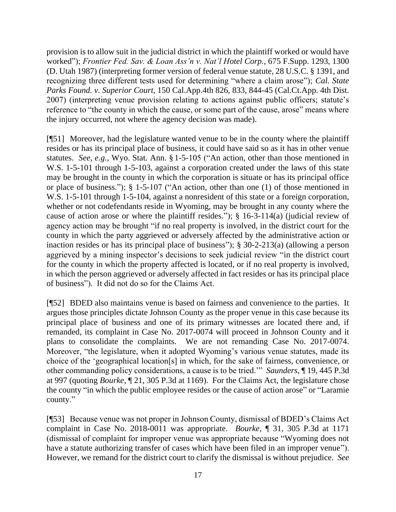provision is to allow suit in the judicial district in which the plaintiff worked or would have worked"); *Frontier Fed. Sav. & Loan Ass'n v. Nat'l Hotel Corp.*, 675 F.Supp. 1293, 1300 (D. Utah 1987) (interpreting former version of federal venue statute, 28 U.S.C. § 1391, and recognizing three different tests used for determining "where a claim arose"); *Cal. State Parks Found. v. Superior Court*, 150 Cal.App.4th 826, 833, 844-45 (Cal.Ct.App. 4th Dist. 2007) (interpreting venue provision relating to actions against public officers; statute's reference to "the county in which the cause, or some part of the cause, arose" means where the injury occurred, not where the agency decision was made).

[¶51] Moreover, had the legislature wanted venue to be in the county where the plaintiff resides or has its principal place of business, it could have said so as it has in other venue statutes. *See, e.g.,* Wyo. Stat. Ann. § 1-5-105 ("An action, other than those mentioned in W.S. 1-5-101 through 1-5-103, against a corporation created under the laws of this state may be brought in the county in which the corporation is situate or has its principal office or place of business."); § 1-5-107 ("An action, other than one (1) of those mentioned in W.S. 1-5-101 through 1-5-104, against a nonresident of this state or a foreign corporation, whether or not codefendants reside in Wyoming, may be brought in any county where the cause of action arose or where the plaintiff resides."); § 16-3-114(a) (judicial review of agency action may be brought "if no real property is involved, in the district court for the county in which the party aggrieved or adversely affected by the administrative action or inaction resides or has its principal place of business"); § 30-2-213(a) (allowing a person aggrieved by a mining inspector's decisions to seek judicial review "in the district court for the county in which the property affected is located, or if no real property is involved, in which the person aggrieved or adversely affected in fact resides or has its principal place of business"). It did not do so for the Claims Act.

[¶52] BDED also maintains venue is based on fairness and convenience to the parties. It argues those principles dictate Johnson County as the proper venue in this case because its principal place of business and one of its primary witnesses are located there and, if remanded, its complaint in Case No. 2017-0074 will proceed in Johnson County and it plans to consolidate the complaints. We are not remanding Case No. 2017-0074. Moreover, "the legislature, when it adopted Wyoming's various venue statutes, made its choice of the 'geographical location[s] in which, for the sake of fairness, convenience, or other commanding policy considerations, a cause is to be tried.'" *Saunders*, ¶ 19, 445 P.3d at 997 (quoting *Bourke*, ¶ 21, 305 P.3d at 1169). For the Claims Act, the legislature chose the county "in which the public employee resides or the cause of action arose" or "Laramie county."

[¶53] Because venue was not proper in Johnson County, dismissal of BDED's Claims Act complaint in Case No. 2018-0011 was appropriate. *Bourke*, ¶ 31, 305 P.3d at 1171 (dismissal of complaint for improper venue was appropriate because "Wyoming does not have a statute authorizing transfer of cases which have been filed in an improper venue"). However, we remand for the district court to clarify the dismissal is without prejudice. *See*